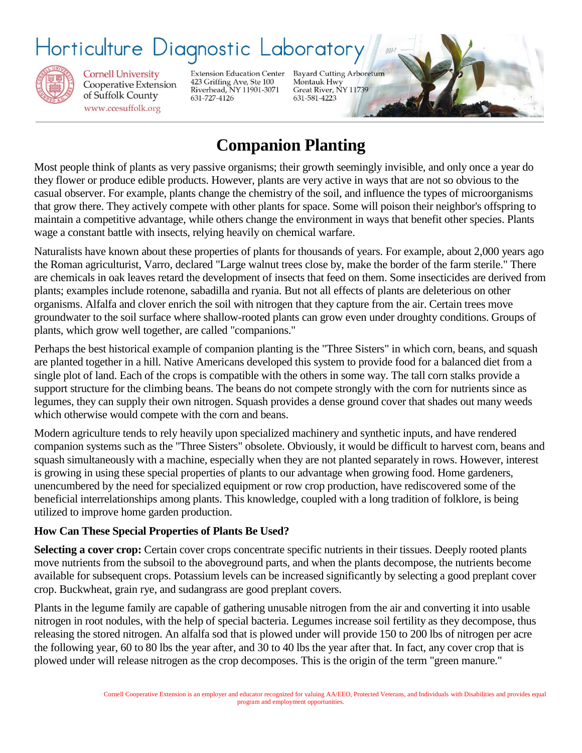# Horticulture Diagnostic Laborator



**Cornell University** Cooperative Extension of Suffolk County www.ccesuffolk.org

**Extension Education Center** 423 Griffing Ave, Ste 100<br>Riverhead, NY 11901-3071 631-727-4126

Bayard Cutting Arboretum Montauk Hwy Great River, NY 11739 631-581-4223

## **Companion Planting**

Most people think of plants as very passive organisms; their growth seemingly invisible, and only once a year do they flower or produce edible products. However, plants are very active in ways that are not so obvious to the casual observer. For example, plants change the chemistry of the soil, and influence the types of microorganisms that grow there. They actively compete with other plants for space. Some will poison their neighbor's offspring to maintain a competitive advantage, while others change the environment in ways that benefit other species. Plants wage a constant battle with insects, relying heavily on chemical warfare.

Naturalists have known about these properties of plants for thousands of years. For example, about 2,000 years ago the Roman agriculturist, Varro, declared "Large walnut trees close by, make the border of the farm sterile." There are chemicals in oak leaves retard the development of insects that feed on them. Some insecticides are derived from plants; examples include rotenone, sabadilla and ryania. But not all effects of plants are deleterious on other organisms. Alfalfa and clover enrich the soil with nitrogen that they capture from the air. Certain trees move groundwater to the soil surface where shallow-rooted plants can grow even under droughty conditions. Groups of plants, which grow well together, are called "companions."

Perhaps the best historical example of companion planting is the "Three Sisters" in which corn, beans, and squash are planted together in a hill. Native Americans developed this system to provide food for a balanced diet from a single plot of land. Each of the crops is compatible with the others in some way. The tall corn stalks provide a support structure for the climbing beans. The beans do not compete strongly with the corn for nutrients since as legumes, they can supply their own nitrogen. Squash provides a dense ground cover that shades out many weeds which otherwise would compete with the corn and beans.

Modern agriculture tends to rely heavily upon specialized machinery and synthetic inputs, and have rendered companion systems such as the "Three Sisters" obsolete. Obviously, it would be difficult to harvest corn, beans and squash simultaneously with a machine, especially when they are not planted separately in rows. However, interest is growing in using these special properties of plants to our advantage when growing food. Home gardeners, unencumbered by the need for specialized equipment or row crop production, have rediscovered some of the beneficial interrelationships among plants. This knowledge, coupled with a long tradition of folklore, is being utilized to improve home garden production.

#### **How Can These Special Properties of Plants Be Used?**

**Selecting a cover crop:** Certain cover crops concentrate specific nutrients in their tissues. Deeply rooted plants move nutrients from the subsoil to the aboveground parts, and when the plants decompose, the nutrients become available for subsequent crops. Potassium levels can be increased significantly by selecting a good preplant cover crop. Buckwheat, grain rye, and sudangrass are good preplant covers.

Plants in the legume family are capable of gathering unusable nitrogen from the air and converting it into usable nitrogen in root nodules, with the help of special bacteria. Legumes increase soil fertility as they decompose, thus releasing the stored nitrogen. An alfalfa sod that is plowed under will provide 150 to 200 lbs of nitrogen per acre the following year, 60 to 80 lbs the year after, and 30 to 40 lbs the year after that. In fact, any cover crop that is plowed under will release nitrogen as the crop decomposes. This is the origin of the term "green manure."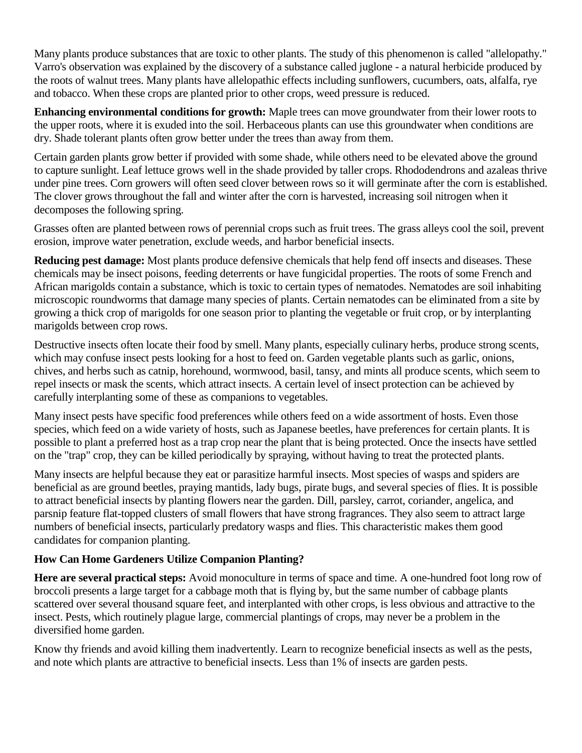Many plants produce substances that are toxic to other plants. The study of this phenomenon is called "allelopathy." Varro's observation was explained by the discovery of a substance called juglone - a natural herbicide produced by the roots of walnut trees. Many plants have allelopathic effects including sunflowers, cucumbers, oats, alfalfa, rye and tobacco. When these crops are planted prior to other crops, weed pressure is reduced.

**Enhancing environmental conditions for growth:** Maple trees can move groundwater from their lower roots to the upper roots, where it is exuded into the soil. Herbaceous plants can use this groundwater when conditions are dry. Shade tolerant plants often grow better under the trees than away from them.

Certain garden plants grow better if provided with some shade, while others need to be elevated above the ground to capture sunlight. Leaf lettuce grows well in the shade provided by taller crops. Rhododendrons and azaleas thrive under pine trees. Corn growers will often seed clover between rows so it will germinate after the corn is established. The clover grows throughout the fall and winter after the corn is harvested, increasing soil nitrogen when it decomposes the following spring.

Grasses often are planted between rows of perennial crops such as fruit trees. The grass alleys cool the soil, prevent erosion, improve water penetration, exclude weeds, and harbor beneficial insects.

**Reducing pest damage:** Most plants produce defensive chemicals that help fend off insects and diseases. These chemicals may be insect poisons, feeding deterrents or have fungicidal properties. The roots of some French and African marigolds contain a substance, which is toxic to certain types of nematodes. Nematodes are soil inhabiting microscopic roundworms that damage many species of plants. Certain nematodes can be eliminated from a site by growing a thick crop of marigolds for one season prior to planting the vegetable or fruit crop, or by interplanting marigolds between crop rows.

Destructive insects often locate their food by smell. Many plants, especially culinary herbs, produce strong scents, which may confuse insect pests looking for a host to feed on. Garden vegetable plants such as garlic, onions, chives, and herbs such as catnip, horehound, wormwood, basil, tansy, and mints all produce scents, which seem to repel insects or mask the scents, which attract insects. A certain level of insect protection can be achieved by carefully interplanting some of these as companions to vegetables.

Many insect pests have specific food preferences while others feed on a wide assortment of hosts. Even those species, which feed on a wide variety of hosts, such as Japanese beetles, have preferences for certain plants. It is possible to plant a preferred host as a trap crop near the plant that is being protected. Once the insects have settled on the "trap" crop, they can be killed periodically by spraying, without having to treat the protected plants.

Many insects are helpful because they eat or parasitize harmful insects. Most species of wasps and spiders are beneficial as are ground beetles, praying mantids, lady bugs, pirate bugs, and several species of flies. It is possible to attract beneficial insects by planting flowers near the garden. Dill, parsley, carrot, coriander, angelica, and parsnip feature flat-topped clusters of small flowers that have strong fragrances. They also seem to attract large numbers of beneficial insects, particularly predatory wasps and flies. This characteristic makes them good candidates for companion planting.

### **How Can Home Gardeners Utilize Companion Planting?**

**Here are several practical steps:** Avoid monoculture in terms of space and time. A one-hundred foot long row of broccoli presents a large target for a cabbage moth that is flying by, but the same number of cabbage plants scattered over several thousand square feet, and interplanted with other crops, is less obvious and attractive to the insect. Pests, which routinely plague large, commercial plantings of crops, may never be a problem in the diversified home garden.

Know thy friends and avoid killing them inadvertently. Learn to recognize beneficial insects as well as the pests, and note which plants are attractive to beneficial insects. Less than 1% of insects are garden pests.